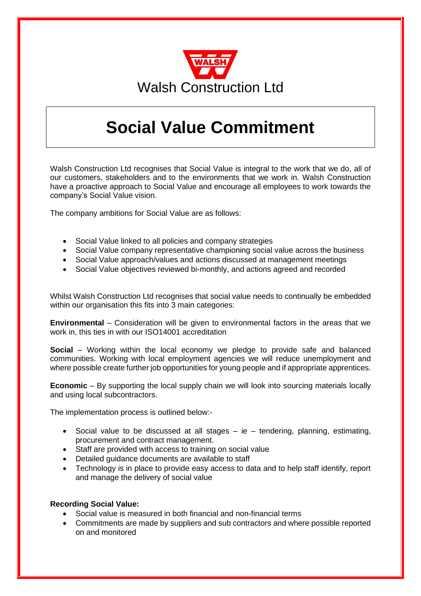

## **Social Value Commitment**

Walsh Construction Ltd recognises that Social Value is integral to the work that we do, all of our customers, stakeholders and to the environments that we work in. Walsh Construction have a proactive approach to Social Value and encourage all employees to work towards the company's Social Value vision.

The company ambitions for Social Value are as follows:

- Social Value linked to all policies and company strategies
- Social Value company representative championing social value across the business
- Social Value approach/values and actions discussed at management meetings
- Social Value objectives reviewed bi-monthly, and actions agreed and recorded

Whilst Walsh Construction Ltd recognises that social value needs to continually be embedded within our organisation this fits into 3 main categories:

**Environmental** – Consideration will be given to environmental factors in the areas that we work in, this ties in with our ISO14001 accreditation

**Social** – Working within the local economy we pledge to provide safe and balanced communities. Working with local employment agencies we will reduce unemployment and where possible create further job opportunities for young people and if appropriate apprentices.

**Economic** – By supporting the local supply chain we will look into sourcing materials locally and using local subcontractors.

The implementation process is outlined below:-

- Social value to be discussed at all stages  $-$  ie  $-$  tendering, planning, estimating, procurement and contract management.
- Staff are provided with access to training on social value
- Detailed guidance documents are available to staff
- Technology is in place to provide easy access to data and to help staff identify, report and manage the delivery of social value

## **Recording Social Value:**

- Social value is measured in both financial and non-financial terms
- Commitments are made by suppliers and sub contractors and where possible reported on and monitored